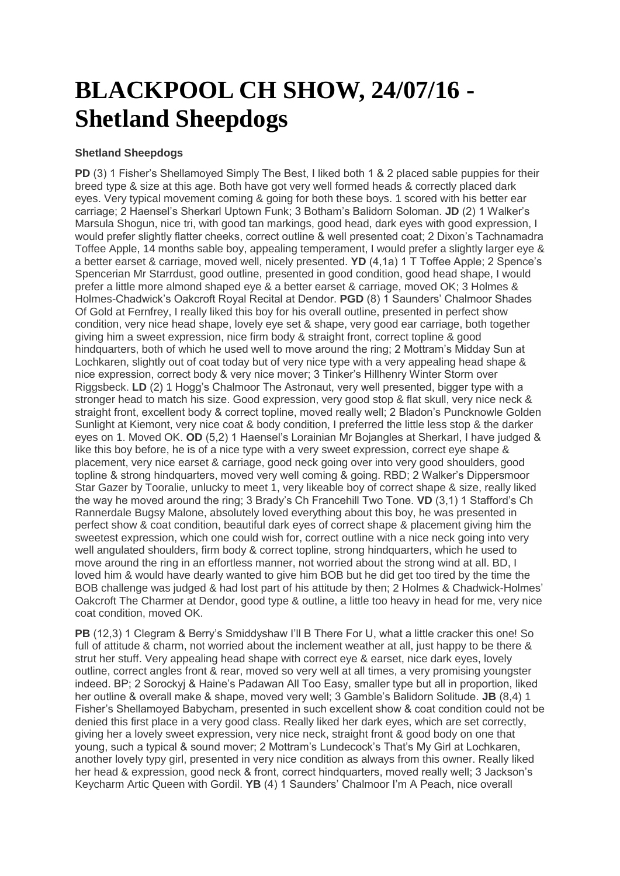## **BLACKPOOL CH SHOW, 24/07/16 - Shetland Sheepdogs**

## **Shetland Sheepdogs**

**PD** (3) 1 Fisher's Shellamoved Simply The Best, I liked both 1 & 2 placed sable puppies for their breed type & size at this age. Both have got very well formed heads & correctly placed dark eyes. Very typical movement coming & going for both these boys. 1 scored with his better ear carriage; 2 Haensel's Sherkarl Uptown Funk; 3 Botham's Balidorn Soloman. **JD** (2) 1 Walker's Marsula Shogun, nice tri, with good tan markings, good head, dark eyes with good expression, I would prefer slightly flatter cheeks, correct outline & well presented coat; 2 Dixon's Tachnamadra Toffee Apple, 14 months sable boy, appealing temperament, I would prefer a slightly larger eye & a better earset & carriage, moved well, nicely presented. **YD** (4,1a) 1 T Toffee Apple; 2 Spence's Spencerian Mr Starrdust, good outline, presented in good condition, good head shape, I would prefer a little more almond shaped eye & a better earset & carriage, moved OK; 3 Holmes & Holmes-Chadwick's Oakcroft Royal Recital at Dendor. **PGD** (8) 1 Saunders' Chalmoor Shades Of Gold at Fernfrey, I really liked this boy for his overall outline, presented in perfect show condition, very nice head shape, lovely eye set & shape, very good ear carriage, both together giving him a sweet expression, nice firm body & straight front, correct topline & good hindquarters, both of which he used well to move around the ring; 2 Mottram's Midday Sun at Lochkaren, slightly out of coat today but of very nice type with a very appealing head shape & nice expression, correct body & very nice mover; 3 Tinker's Hillhenry Winter Storm over Riggsbeck. **LD** (2) 1 Hogg's Chalmoor The Astronaut, very well presented, bigger type with a stronger head to match his size. Good expression, very good stop & flat skull, very nice neck & straight front, excellent body & correct topline, moved really well; 2 Bladon's Puncknowle Golden Sunlight at Kiemont, very nice coat & body condition, I preferred the little less stop & the darker eyes on 1. Moved OK. **OD** (5,2) 1 Haensel's Lorainian Mr Bojangles at Sherkarl, I have judged & like this boy before, he is of a nice type with a very sweet expression, correct eye shape & placement, very nice earset & carriage, good neck going over into very good shoulders, good topline & strong hindquarters, moved very well coming & going. RBD; 2 Walker's Dippersmoor Star Gazer by Tooralie, unlucky to meet 1, very likeable boy of correct shape & size, really liked the way he moved around the ring; 3 Brady's Ch Francehill Two Tone. **VD** (3,1) 1 Stafford's Ch Rannerdale Bugsy Malone, absolutely loved everything about this boy, he was presented in perfect show & coat condition, beautiful dark eyes of correct shape & placement giving him the sweetest expression, which one could wish for, correct outline with a nice neck going into very well angulated shoulders, firm body & correct topline, strong hindquarters, which he used to move around the ring in an effortless manner, not worried about the strong wind at all. BD, I loved him & would have dearly wanted to give him BOB but he did get too tired by the time the BOB challenge was judged & had lost part of his attitude by then; 2 Holmes & Chadwick-Holmes' Oakcroft The Charmer at Dendor, good type & outline, a little too heavy in head for me, very nice coat condition, moved OK.

**PB** (12.3) 1 Clegram & Berry's Smiddyshaw I'll B There For U, what a little cracker this one! So full of attitude & charm, not worried about the inclement weather at all, just happy to be there & strut her stuff. Very appealing head shape with correct eye & earset, nice dark eyes, lovely outline, correct angles front & rear, moved so very well at all times, a very promising youngster indeed. BP; 2 Sorockyj & Haine's Padawan All Too Easy, smaller type but all in proportion, liked her outline & overall make & shape, moved very well; 3 Gamble's Balidorn Solitude. **JB** (8,4) 1 Fisher's Shellamoyed Babycham, presented in such excellent show & coat condition could not be denied this first place in a very good class. Really liked her dark eyes, which are set correctly, giving her a lovely sweet expression, very nice neck, straight front & good body on one that young, such a typical & sound mover; 2 Mottram's Lundecock's That's My Girl at Lochkaren, another lovely typy girl, presented in very nice condition as always from this owner. Really liked her head & expression, good neck & front, correct hindquarters, moved really well; 3 Jackson's Keycharm Artic Queen with Gordil. **YB** (4) 1 Saunders' Chalmoor I'm A Peach, nice overall